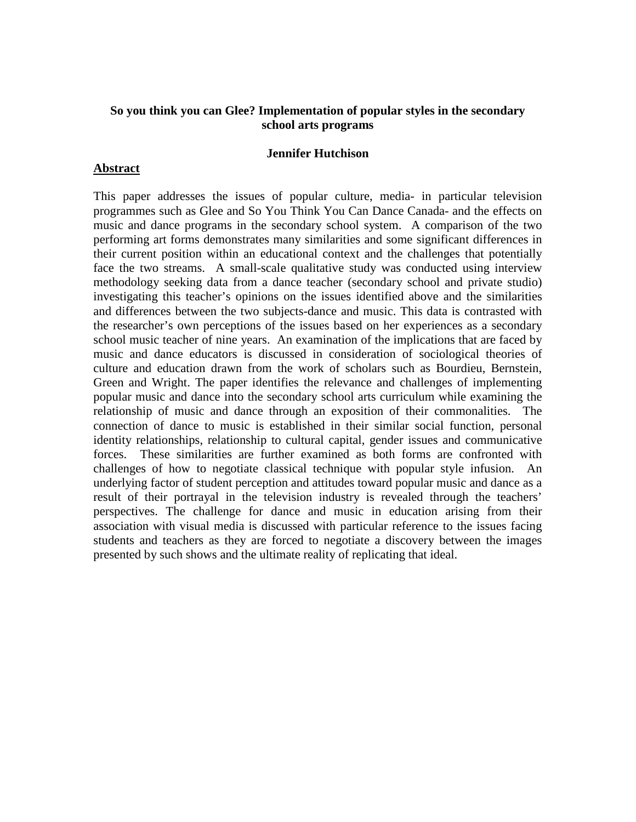# **So you think you can Glee? Implementation of popular styles in the secondary school arts programs**

### **Jennifer Hutchison**

### **Abstract**

This paper addresses the issues of popular culture, media- in particular television programmes such as Glee and So You Think You Can Dance Canada- and the effects on music and dance programs in the secondary school system. A comparison of the two performing art forms demonstrates many similarities and some significant differences in their current position within an educational context and the challenges that potentially face the two streams. A small-scale qualitative study was conducted using interview methodology seeking data from a dance teacher (secondary school and private studio) investigating this teacher's opinions on the issues identified above and the similarities and differences between the two subjects-dance and music. This data is contrasted with the researcher's own perceptions of the issues based on her experiences as a secondary school music teacher of nine years. An examination of the implications that are faced by music and dance educators is discussed in consideration of sociological theories of culture and education drawn from the work of scholars such as Bourdieu, Bernstein, Green and Wright. The paper identifies the relevance and challenges of implementing popular music and dance into the secondary school arts curriculum while examining the relationship of music and dance through an exposition of their commonalities. The connection of dance to music is established in their similar social function, personal identity relationships, relationship to cultural capital, gender issues and communicative forces. These similarities are further examined as both forms are confronted with challenges of how to negotiate classical technique with popular style infusion. An underlying factor of student perception and attitudes toward popular music and dance as a result of their portrayal in the television industry is revealed through the teachers' perspectives. The challenge for dance and music in education arising from their association with visual media is discussed with particular reference to the issues facing students and teachers as they are forced to negotiate a discovery between the images presented by such shows and the ultimate reality of replicating that ideal.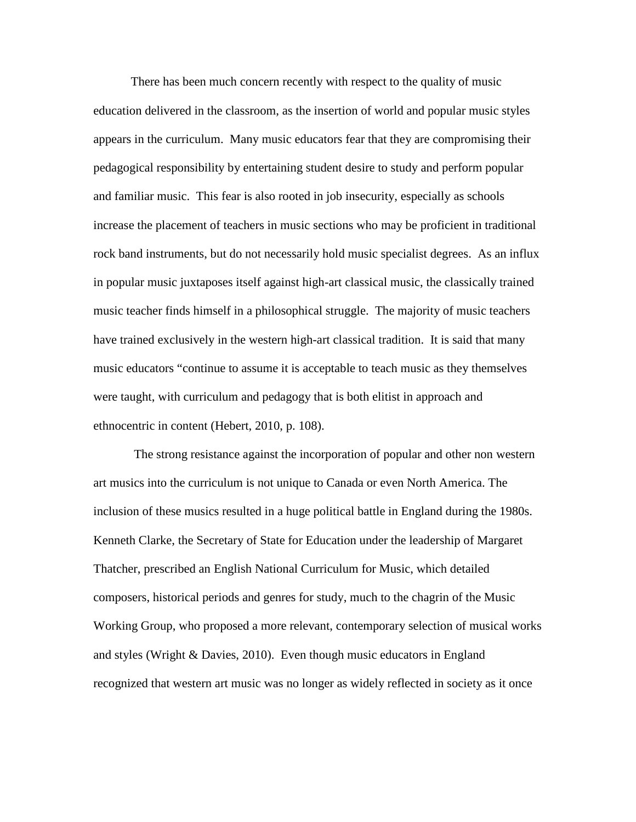There has been much concern recently with respect to the quality of music education delivered in the classroom, as the insertion of world and popular music styles appears in the curriculum. Many music educators fear that they are compromising their pedagogical responsibility by entertaining student desire to study and perform popular and familiar music. This fear is also rooted in job insecurity, especially as schools increase the placement of teachers in music sections who may be proficient in traditional rock band instruments, but do not necessarily hold music specialist degrees. As an influx in popular music juxtaposes itself against high-art classical music, the classically trained music teacher finds himself in a philosophical struggle. The majority of music teachers have trained exclusively in the western high-art classical tradition. It is said that many music educators "continue to assume it is acceptable to teach music as they themselves were taught, with curriculum and pedagogy that is both elitist in approach and ethnocentric in content (Hebert, 2010, p. 108).

The strong resistance against the incorporation of popular and other non western art musics into the curriculum is not unique to Canada or even North America. The inclusion of these musics resulted in a huge political battle in England during the 1980s. Kenneth Clarke, the Secretary of State for Education under the leadership of Margaret Thatcher, prescribed an English National Curriculum for Music, which detailed composers, historical periods and genres for study, much to the chagrin of the Music Working Group, who proposed a more relevant, contemporary selection of musical works and styles (Wright & Davies, 2010). Even though music educators in England recognized that western art music was no longer as widely reflected in society as it once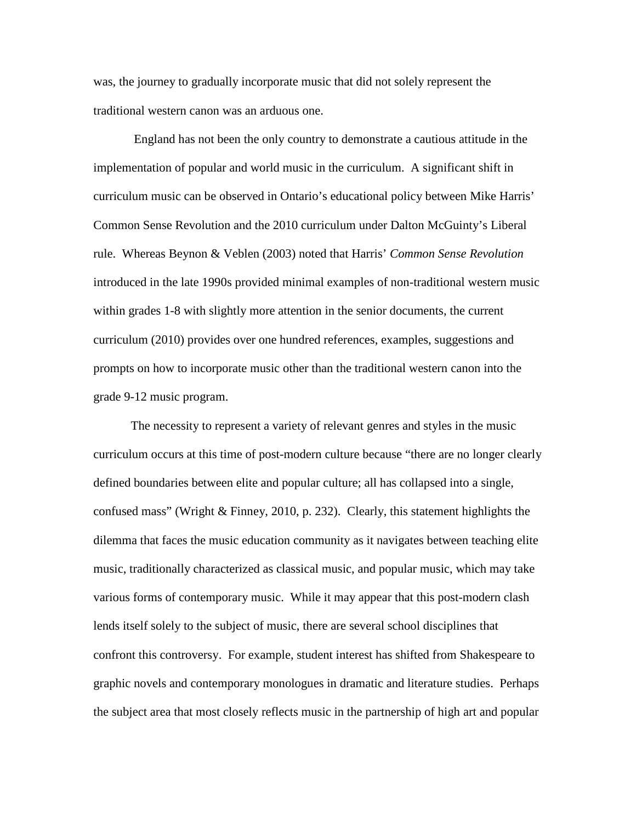was, the journey to gradually incorporate music that did not solely represent the traditional western canon was an arduous one.

England has not been the only country to demonstrate a cautious attitude in the implementation of popular and world music in the curriculum. A significant shift in curriculum music can be observed in Ontario's educational policy between Mike Harris' Common Sense Revolution and the 2010 curriculum under Dalton McGuinty's Liberal rule. Whereas Beynon & Veblen (2003) noted that Harris' *Common Sense Revolution* introduced in the late 1990s provided minimal examples of non-traditional western music within grades 1-8 with slightly more attention in the senior documents, the current curriculum (2010) provides over one hundred references, examples, suggestions and prompts on how to incorporate music other than the traditional western canon into the grade 9-12 music program.

The necessity to represent a variety of relevant genres and styles in the music curriculum occurs at this time of post-modern culture because "there are no longer clearly defined boundaries between elite and popular culture; all has collapsed into a single, confused mass" (Wright & Finney, 2010, p. 232). Clearly, this statement highlights the dilemma that faces the music education community as it navigates between teaching elite music, traditionally characterized as classical music, and popular music, which may take various forms of contemporary music. While it may appear that this post-modern clash lends itself solely to the subject of music, there are several school disciplines that confront this controversy. For example, student interest has shifted from Shakespeare to graphic novels and contemporary monologues in dramatic and literature studies. Perhaps the subject area that most closely reflects music in the partnership of high art and popular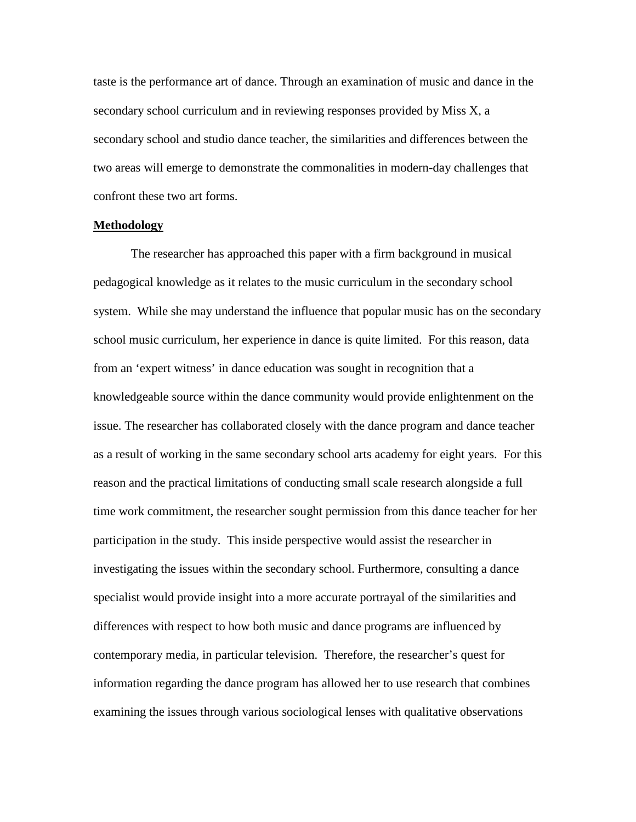taste is the performance art of dance. Through an examination of music and dance in the secondary school curriculum and in reviewing responses provided by Miss X, a secondary school and studio dance teacher, the similarities and differences between the two areas will emerge to demonstrate the commonalities in modern-day challenges that confront these two art forms.

### **Methodology**

The researcher has approached this paper with a firm background in musical pedagogical knowledge as it relates to the music curriculum in the secondary school system. While she may understand the influence that popular music has on the secondary school music curriculum, her experience in dance is quite limited. For this reason, data from an 'expert witness' in dance education was sought in recognition that a knowledgeable source within the dance community would provide enlightenment on the issue. The researcher has collaborated closely with the dance program and dance teacher as a result of working in the same secondary school arts academy for eight years. For this reason and the practical limitations of conducting small scale research alongside a full time work commitment, the researcher sought permission from this dance teacher for her participation in the study. This inside perspective would assist the researcher in investigating the issues within the secondary school. Furthermore, consulting a dance specialist would provide insight into a more accurate portrayal of the similarities and differences with respect to how both music and dance programs are influenced by contemporary media, in particular television. Therefore, the researcher's quest for information regarding the dance program has allowed her to use research that combines examining the issues through various sociological lenses with qualitative observations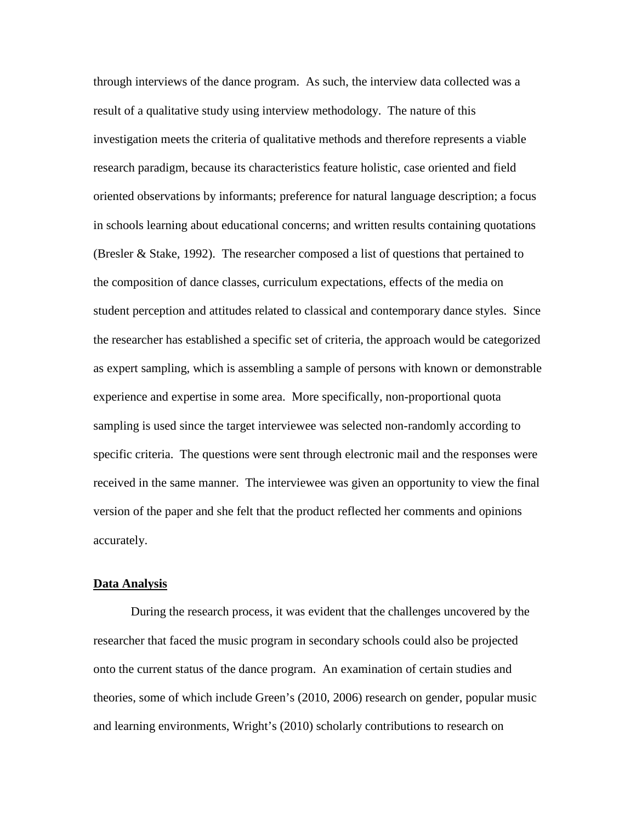through interviews of the dance program. As such, the interview data collected was a result of a qualitative study using interview methodology. The nature of this investigation meets the criteria of qualitative methods and therefore represents a viable research paradigm, because its characteristics feature holistic, case oriented and field oriented observations by informants; preference for natural language description; a focus in schools learning about educational concerns; and written results containing quotations (Bresler & Stake, 1992). The researcher composed a list of questions that pertained to the composition of dance classes, curriculum expectations, effects of the media on student perception and attitudes related to classical and contemporary dance styles. Since the researcher has established a specific set of criteria, the approach would be categorized as expert sampling, which is assembling a sample of persons with known or demonstrable experience and expertise in some area. More specifically, non-proportional quota sampling is used since the target interviewee was selected non-randomly according to specific criteria. The questions were sent through electronic mail and the responses were received in the same manner. The interviewee was given an opportunity to view the final version of the paper and she felt that the product reflected her comments and opinions accurately.

#### **Data Analysis**

During the research process, it was evident that the challenges uncovered by the researcher that faced the music program in secondary schools could also be projected onto the current status of the dance program. An examination of certain studies and theories, some of which include Green's (2010, 2006) research on gender, popular music and learning environments, Wright's (2010) scholarly contributions to research on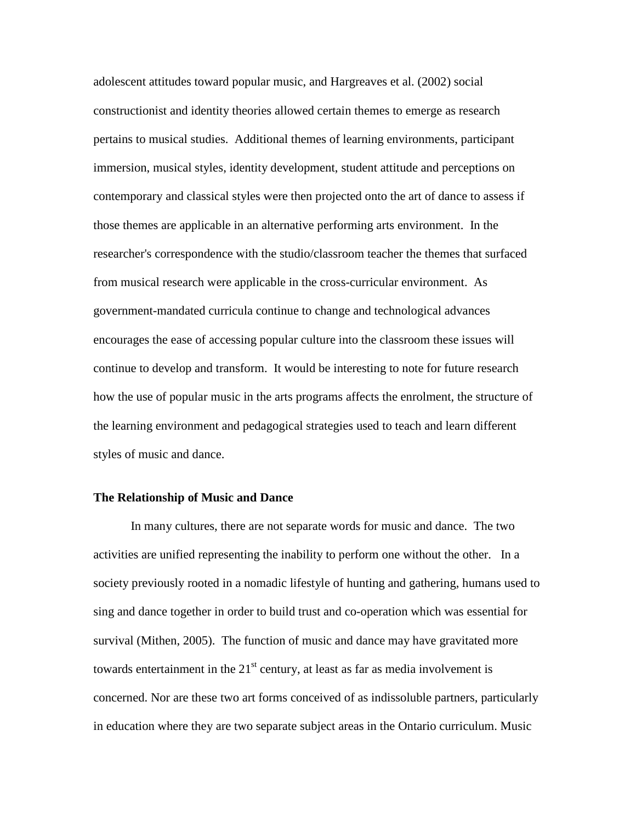adolescent attitudes toward popular music, and Hargreaves et al. (2002) social constructionist and identity theories allowed certain themes to emerge as research pertains to musical studies. Additional themes of learning environments, participant immersion, musical styles, identity development, student attitude and perceptions on contemporary and classical styles were then projected onto the art of dance to assess if those themes are applicable in an alternative performing arts environment. In the researcher's correspondence with the studio/classroom teacher the themes that surfaced from musical research were applicable in the cross-curricular environment. As government-mandated curricula continue to change and technological advances encourages the ease of accessing popular culture into the classroom these issues will continue to develop and transform. It would be interesting to note for future research how the use of popular music in the arts programs affects the enrolment, the structure of the learning environment and pedagogical strategies used to teach and learn different styles of music and dance.

#### **The Relationship of Music and Dance**

In many cultures, there are not separate words for music and dance. The two activities are unified representing the inability to perform one without the other. In a society previously rooted in a nomadic lifestyle of hunting and gathering, humans used to sing and dance together in order to build trust and co-operation which was essential for survival (Mithen, 2005). The function of music and dance may have gravitated more towards entertainment in the  $21<sup>st</sup>$  century, at least as far as media involvement is concerned. Nor are these two art forms conceived of as indissoluble partners, particularly in education where they are two separate subject areas in the Ontario curriculum. Music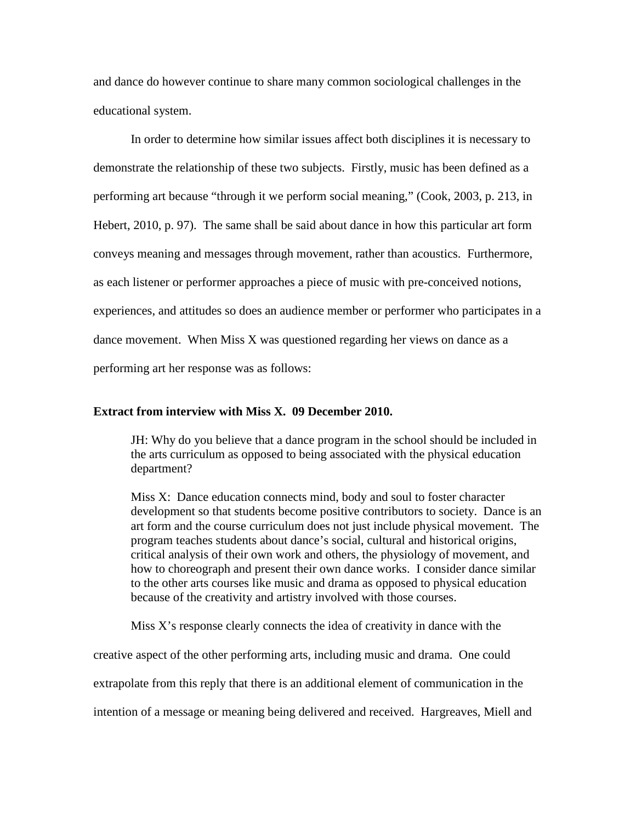and dance do however continue to share many common sociological challenges in the educational system.

In order to determine how similar issues affect both disciplines it is necessary to demonstrate the relationship of these two subjects. Firstly, music has been defined as a performing art because "through it we perform social meaning," (Cook, 2003, p. 213, in Hebert, 2010, p. 97). The same shall be said about dance in how this particular art form conveys meaning and messages through movement, rather than acoustics. Furthermore, as each listener or performer approaches a piece of music with pre-conceived notions, experiences, and attitudes so does an audience member or performer who participates in a dance movement. When Miss X was questioned regarding her views on dance as a performing art her response was as follows:

### **Extract from interview with Miss X. 09 December 2010.**

JH: Why do you believe that a dance program in the school should be included in the arts curriculum as opposed to being associated with the physical education department?

Miss X: Dance education connects mind, body and soul to foster character development so that students become positive contributors to society. Dance is an art form and the course curriculum does not just include physical movement. The program teaches students about dance's social, cultural and historical origins, critical analysis of their own work and others, the physiology of movement, and how to choreograph and present their own dance works. I consider dance similar to the other arts courses like music and drama as opposed to physical education because of the creativity and artistry involved with those courses.

Miss X's response clearly connects the idea of creativity in dance with the

creative aspect of the other performing arts, including music and drama. One could extrapolate from this reply that there is an additional element of communication in the intention of a message or meaning being delivered and received. Hargreaves, Miell and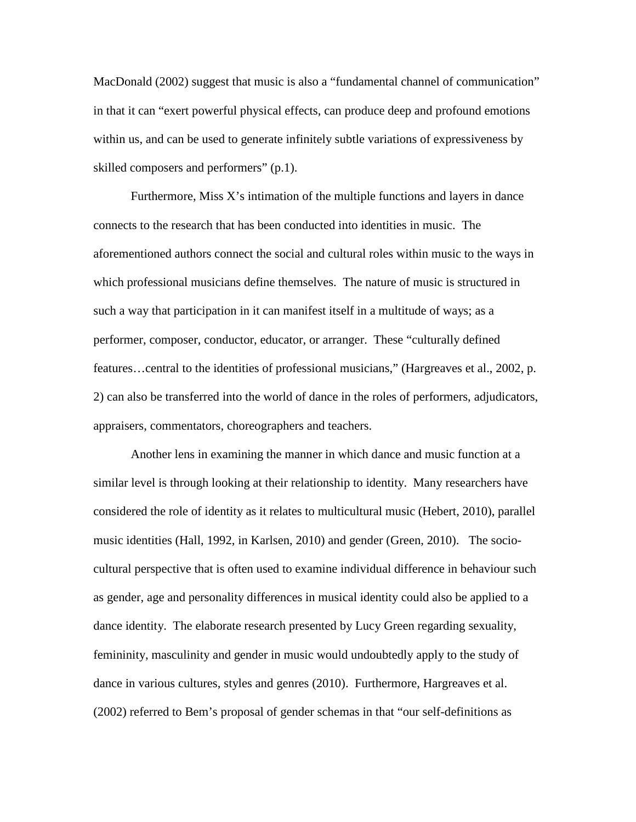MacDonald (2002) suggest that music is also a "fundamental channel of communication" in that it can "exert powerful physical effects, can produce deep and profound emotions within us, and can be used to generate infinitely subtle variations of expressiveness by skilled composers and performers" (p.1).

Furthermore, Miss  $X$ 's intimation of the multiple functions and layers in dance connects to the research that has been conducted into identities in music. The aforementioned authors connect the social and cultural roles within music to the ways in which professional musicians define themselves. The nature of music is structured in such a way that participation in it can manifest itself in a multitude of ways; as a performer, composer, conductor, educator, or arranger. These "culturally defined features…central to the identities of professional musicians," (Hargreaves et al., 2002, p. 2) can also be transferred into the world of dance in the roles of performers, adjudicators, appraisers, commentators, choreographers and teachers.

Another lens in examining the manner in which dance and music function at a similar level is through looking at their relationship to identity. Many researchers have considered the role of identity as it relates to multicultural music (Hebert, 2010), parallel music identities (Hall, 1992, in Karlsen, 2010) and gender (Green, 2010). The sociocultural perspective that is often used to examine individual difference in behaviour such as gender, age and personality differences in musical identity could also be applied to a dance identity. The elaborate research presented by Lucy Green regarding sexuality, femininity, masculinity and gender in music would undoubtedly apply to the study of dance in various cultures, styles and genres (2010). Furthermore, Hargreaves et al. (2002) referred to Bem's proposal of gender schemas in that "our self-definitions as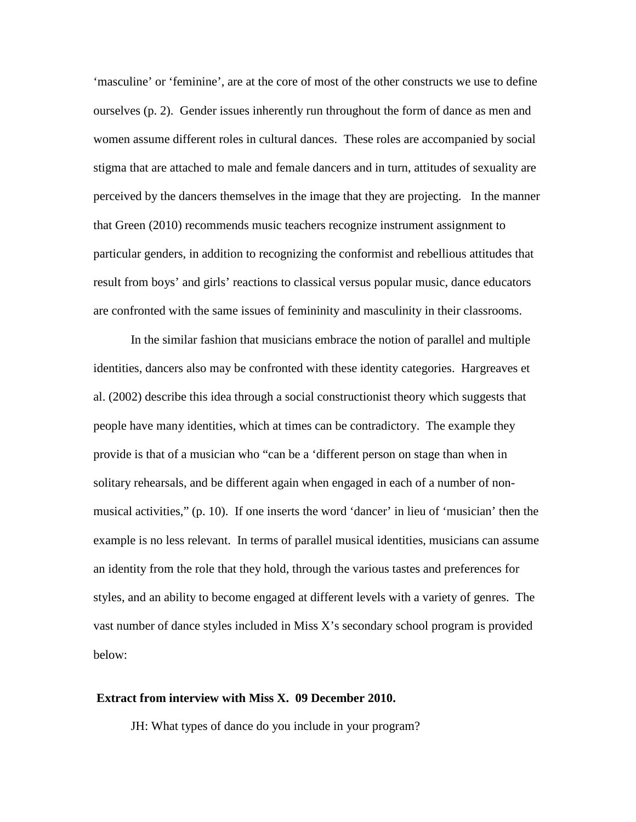'masculine' or 'feminine', are at the core of most of the other constructs we use to define ourselves (p. 2). Gender issues inherently run throughout the form of dance as men and women assume different roles in cultural dances. These roles are accompanied by social stigma that are attached to male and female dancers and in turn, attitudes of sexuality are perceived by the dancers themselves in the image that they are projecting. In the manner that Green (2010) recommends music teachers recognize instrument assignment to particular genders, in addition to recognizing the conformist and rebellious attitudes that result from boys' and girls' reactions to classical versus popular music, dance educators are confronted with the same issues of femininity and masculinity in their classrooms.

In the similar fashion that musicians embrace the notion of parallel and multiple identities, dancers also may be confronted with these identity categories. Hargreaves et al. (2002) describe this idea through a social constructionist theory which suggests that people have many identities, which at times can be contradictory. The example they provide is that of a musician who "can be a 'different person on stage than when in solitary rehearsals, and be different again when engaged in each of a number of nonmusical activities," (p. 10). If one inserts the word 'dancer' in lieu of 'musician' then the example is no less relevant. In terms of parallel musical identities, musicians can assume an identity from the role that they hold, through the various tastes and preferences for styles, and an ability to become engaged at different levels with a variety of genres. The vast number of dance styles included in Miss X's secondary school program is provided below:

### **Extract from interview with Miss X. 09 December 2010.**

JH: What types of dance do you include in your program?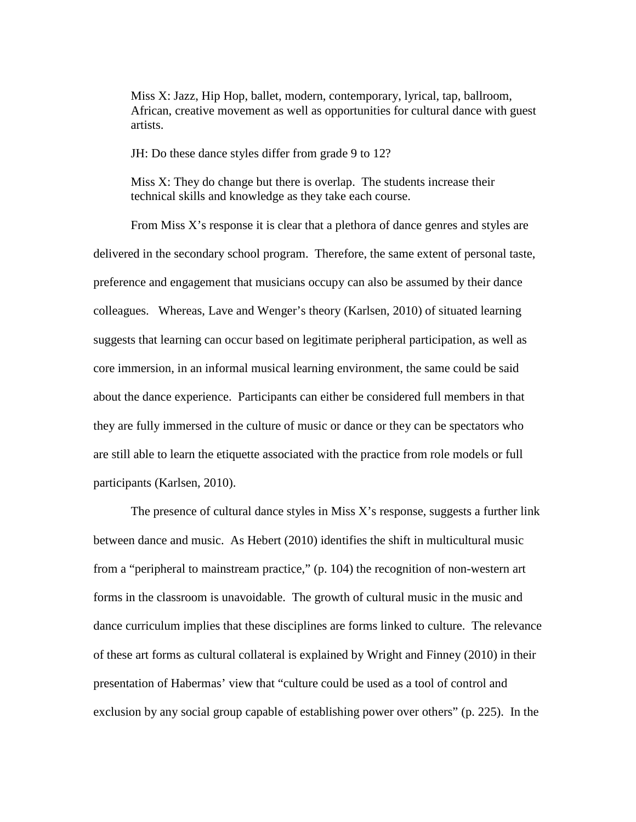Miss X: Jazz, Hip Hop, ballet, modern, contemporary, lyrical, tap, ballroom, African, creative movement as well as opportunities for cultural dance with guest artists.

JH: Do these dance styles differ from grade 9 to 12?

Miss X: They do change but there is overlap. The students increase their technical skills and knowledge as they take each course.

From Miss X's response it is clear that a plethora of dance genres and styles are delivered in the secondary school program. Therefore, the same extent of personal taste, preference and engagement that musicians occupy can also be assumed by their dance colleagues. Whereas, Lave and Wenger's theory (Karlsen, 2010) of situated learning suggests that learning can occur based on legitimate peripheral participation, as well as core immersion, in an informal musical learning environment, the same could be said about the dance experience. Participants can either be considered full members in that they are fully immersed in the culture of music or dance or they can be spectators who are still able to learn the etiquette associated with the practice from role models or full participants (Karlsen, 2010).

The presence of cultural dance styles in Miss X's response, suggests a further link between dance and music. As Hebert (2010) identifies the shift in multicultural music from a "peripheral to mainstream practice," (p. 104) the recognition of non-western art forms in the classroom is unavoidable. The growth of cultural music in the music and dance curriculum implies that these disciplines are forms linked to culture. The relevance of these art forms as cultural collateral is explained by Wright and Finney (2010) in their presentation of Habermas' view that "culture could be used as a tool of control and exclusion by any social group capable of establishing power over others" (p. 225). In the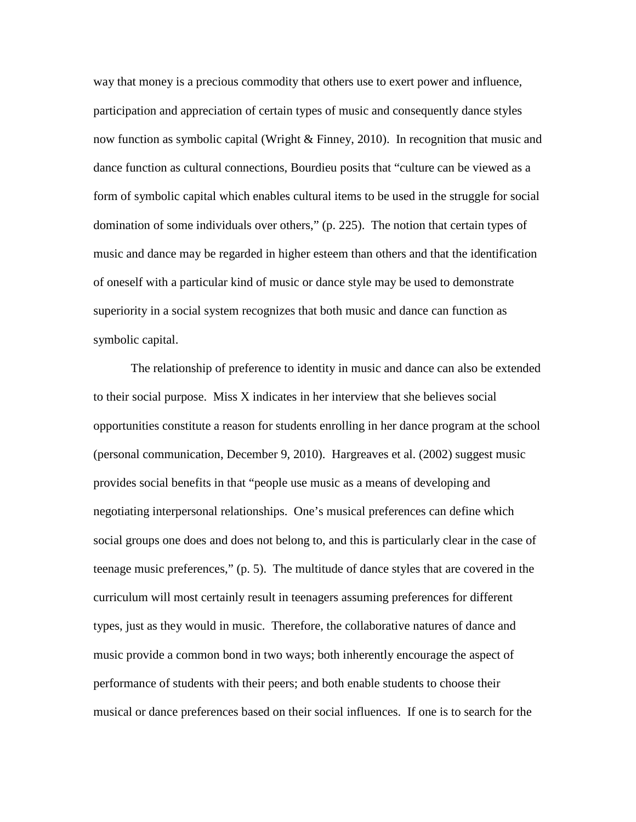way that money is a precious commodity that others use to exert power and influence, participation and appreciation of certain types of music and consequently dance styles now function as symbolic capital (Wright & Finney, 2010). In recognition that music and dance function as cultural connections, Bourdieu posits that "culture can be viewed as a form of symbolic capital which enables cultural items to be used in the struggle for social domination of some individuals over others," (p. 225). The notion that certain types of music and dance may be regarded in higher esteem than others and that the identification of oneself with a particular kind of music or dance style may be used to demonstrate superiority in a social system recognizes that both music and dance can function as symbolic capital.

The relationship of preference to identity in music and dance can also be extended to their social purpose. Miss X indicates in her interview that she believes social opportunities constitute a reason for students enrolling in her dance program at the school (personal communication, December 9, 2010). Hargreaves et al. (2002) suggest music provides social benefits in that "people use music as a means of developing and negotiating interpersonal relationships. One's musical preferences can define which social groups one does and does not belong to, and this is particularly clear in the case of teenage music preferences," (p. 5). The multitude of dance styles that are covered in the curriculum will most certainly result in teenagers assuming preferences for different types, just as they would in music. Therefore, the collaborative natures of dance and music provide a common bond in two ways; both inherently encourage the aspect of performance of students with their peers; and both enable students to choose their musical or dance preferences based on their social influences. If one is to search for the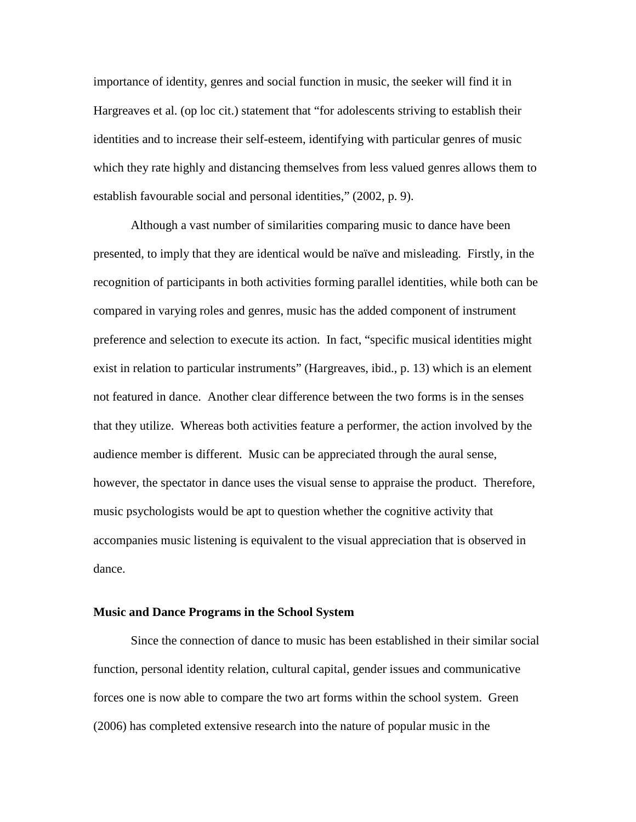importance of identity, genres and social function in music, the seeker will find it in Hargreaves et al. (op loc cit.) statement that "for adolescents striving to establish their identities and to increase their self-esteem, identifying with particular genres of music which they rate highly and distancing themselves from less valued genres allows them to establish favourable social and personal identities," (2002, p. 9).

Although a vast number of similarities comparing music to dance have been presented, to imply that they are identical would be naïve and misleading. Firstly, in the recognition of participants in both activities forming parallel identities, while both can be compared in varying roles and genres, music has the added component of instrument preference and selection to execute its action. In fact, "specific musical identities might exist in relation to particular instruments" (Hargreaves, ibid., p. 13) which is an element not featured in dance. Another clear difference between the two forms is in the senses that they utilize. Whereas both activities feature a performer, the action involved by the audience member is different. Music can be appreciated through the aural sense, however, the spectator in dance uses the visual sense to appraise the product. Therefore, music psychologists would be apt to question whether the cognitive activity that accompanies music listening is equivalent to the visual appreciation that is observed in dance.

### **Music and Dance Programs in the School System**

Since the connection of dance to music has been established in their similar social function, personal identity relation, cultural capital, gender issues and communicative forces one is now able to compare the two art forms within the school system. Green (2006) has completed extensive research into the nature of popular music in the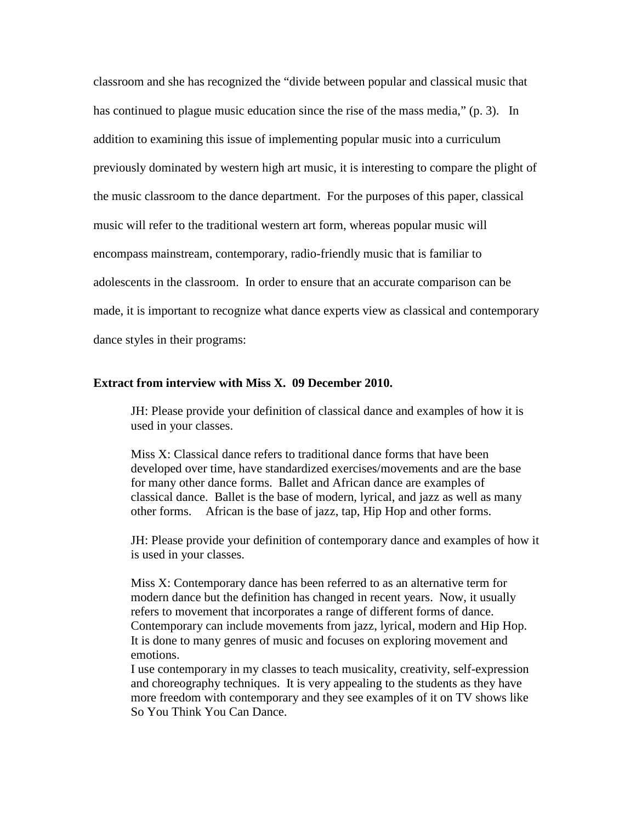classroom and she has recognized the "divide between popular and classical music that has continued to plague music education since the rise of the mass media," (p. 3). In addition to examining this issue of implementing popular music into a curriculum previously dominated by western high art music, it is interesting to compare the plight of the music classroom to the dance department. For the purposes of this paper, classical music will refer to the traditional western art form, whereas popular music will encompass mainstream, contemporary, radio-friendly music that is familiar to adolescents in the classroom. In order to ensure that an accurate comparison can be made, it is important to recognize what dance experts view as classical and contemporary dance styles in their programs:

### **Extract from interview with Miss X. 09 December 2010.**

JH: Please provide your definition of classical dance and examples of how it is used in your classes.

Miss X: Classical dance refers to traditional dance forms that have been developed over time, have standardized exercises/movements and are the base for many other dance forms. Ballet and African dance are examples of classical dance. Ballet is the base of modern, lyrical, and jazz as well as many other forms. African is the base of jazz, tap, Hip Hop and other forms.

JH: Please provide your definition of contemporary dance and examples of how it is used in your classes.

Miss X: Contemporary dance has been referred to as an alternative term for modern dance but the definition has changed in recent years. Now, it usually refers to movement that incorporates a range of different forms of dance. Contemporary can include movements from jazz, lyrical, modern and Hip Hop. It is done to many genres of music and focuses on exploring movement and emotions.

I use contemporary in my classes to teach musicality, creativity, self-expression and choreography techniques. It is very appealing to the students as they have more freedom with contemporary and they see examples of it on TV shows like So You Think You Can Dance.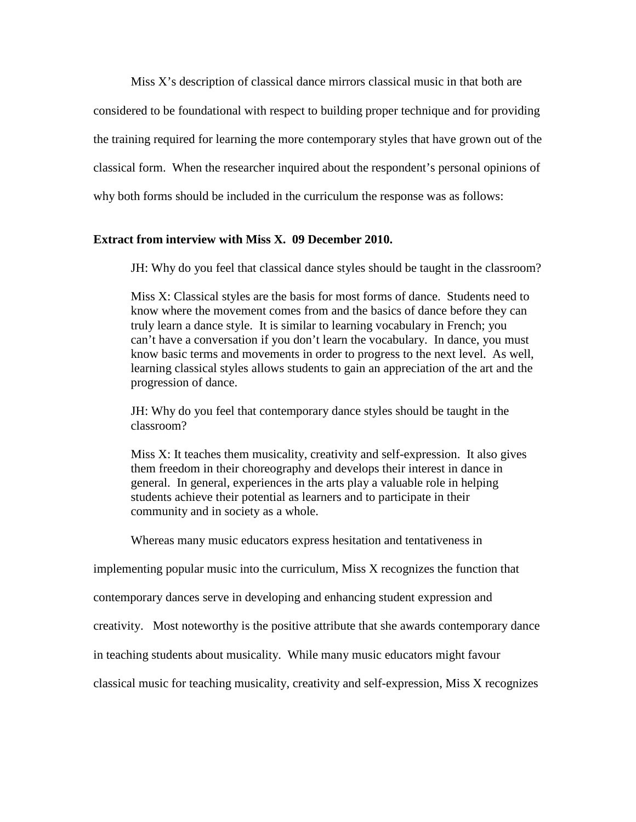Miss X's description of classical dance mirrors classical music in that both are considered to be foundational with respect to building proper technique and for providing the training required for learning the more contemporary styles that have grown out of the classical form. When the researcher inquired about the respondent's personal opinions of why both forms should be included in the curriculum the response was as follows:

# **Extract from interview with Miss X. 09 December 2010.**

JH: Why do you feel that classical dance styles should be taught in the classroom?

Miss X: Classical styles are the basis for most forms of dance. Students need to know where the movement comes from and the basics of dance before they can truly learn a dance style. It is similar to learning vocabulary in French; you can't have a conversation if you don't learn the vocabulary. In dance, you must know basic terms and movements in order to progress to the next level. As well, learning classical styles allows students to gain an appreciation of the art and the progression of dance.

JH: Why do you feel that contemporary dance styles should be taught in the classroom?

Miss X: It teaches them musicality, creativity and self-expression. It also gives them freedom in their choreography and develops their interest in dance in general. In general, experiences in the arts play a valuable role in helping students achieve their potential as learners and to participate in their community and in society as a whole.

Whereas many music educators express hesitation and tentativeness in

implementing popular music into the curriculum, Miss X recognizes the function that

contemporary dances serve in developing and enhancing student expression and

creativity. Most noteworthy is the positive attribute that she awards contemporary dance

in teaching students about musicality. While many music educators might favour

classical music for teaching musicality, creativity and self-expression, Miss X recognizes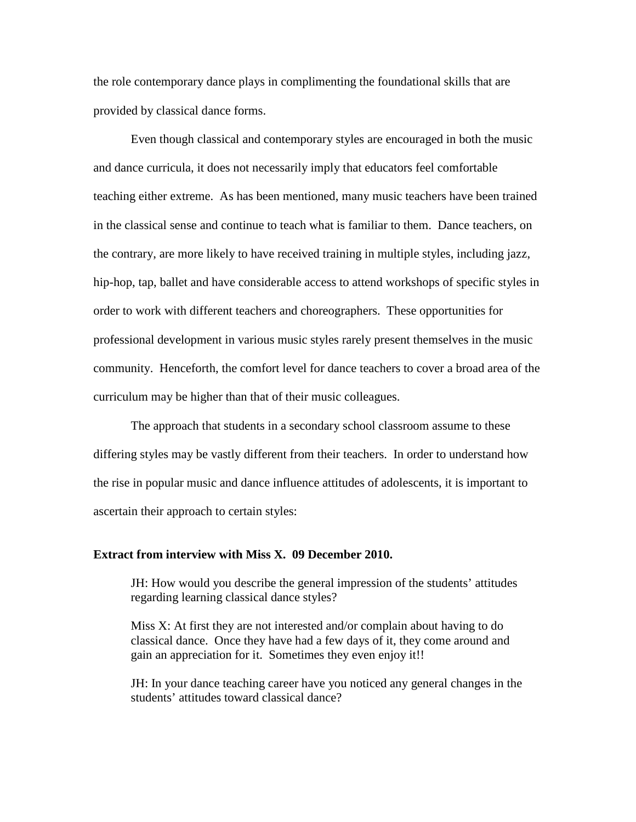the role contemporary dance plays in complimenting the foundational skills that are provided by classical dance forms.

Even though classical and contemporary styles are encouraged in both the music and dance curricula, it does not necessarily imply that educators feel comfortable teaching either extreme. As has been mentioned, many music teachers have been trained in the classical sense and continue to teach what is familiar to them. Dance teachers, on the contrary, are more likely to have received training in multiple styles, including jazz, hip-hop, tap, ballet and have considerable access to attend workshops of specific styles in order to work with different teachers and choreographers. These opportunities for professional development in various music styles rarely present themselves in the music community. Henceforth, the comfort level for dance teachers to cover a broad area of the curriculum may be higher than that of their music colleagues.

The approach that students in a secondary school classroom assume to these differing styles may be vastly different from their teachers. In order to understand how the rise in popular music and dance influence attitudes of adolescents, it is important to ascertain their approach to certain styles:

### **Extract from interview with Miss X. 09 December 2010.**

JH: How would you describe the general impression of the students' attitudes regarding learning classical dance styles?

Miss X: At first they are not interested and/or complain about having to do classical dance. Once they have had a few days of it, they come around and gain an appreciation for it. Sometimes they even enjoy it!!

JH: In your dance teaching career have you noticed any general changes in the students' attitudes toward classical dance?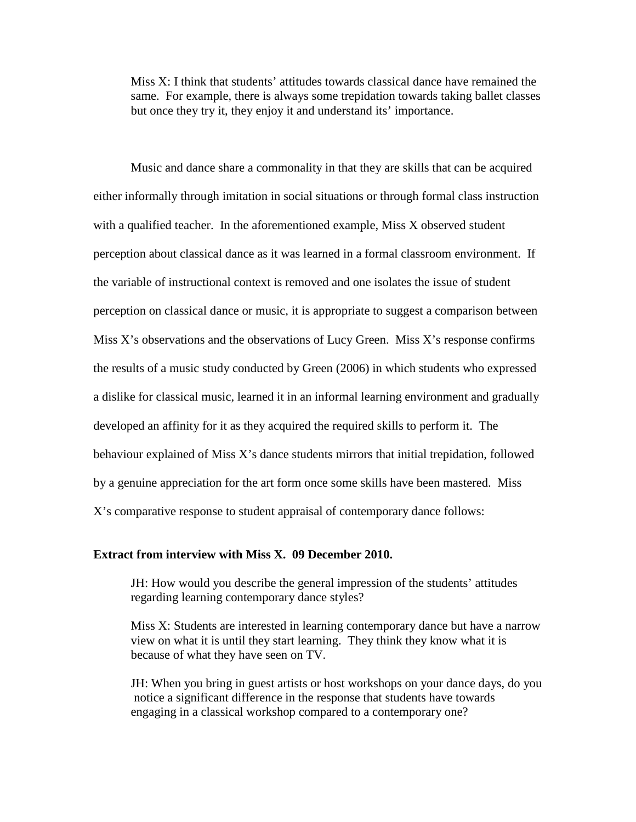Miss X: I think that students' attitudes towards classical dance have remained the same. For example, there is always some trepidation towards taking ballet classes but once they try it, they enjoy it and understand its' importance.

Music and dance share a commonality in that they are skills that can be acquired either informally through imitation in social situations or through formal class instruction with a qualified teacher. In the aforementioned example, Miss X observed student perception about classical dance as it was learned in a formal classroom environment. If the variable of instructional context is removed and one isolates the issue of student perception on classical dance or music, it is appropriate to suggest a comparison between Miss  $X$ 's observations and the observations of Lucy Green. Miss  $X$ 's response confirms the results of a music study conducted by Green (2006) in which students who expressed a dislike for classical music, learned it in an informal learning environment and gradually developed an affinity for it as they acquired the required skills to perform it. The behaviour explained of Miss X's dance students mirrors that initial trepidation, followed by a genuine appreciation for the art form once some skills have been mastered. Miss X's comparative response to student appraisal of contemporary dance follows:

### **Extract from interview with Miss X. 09 December 2010.**

JH: How would you describe the general impression of the students' attitudes regarding learning contemporary dance styles?

Miss X: Students are interested in learning contemporary dance but have a narrow view on what it is until they start learning. They think they know what it is because of what they have seen on TV.

JH: When you bring in guest artists or host workshops on your dance days, do you notice a significant difference in the response that students have towards engaging in a classical workshop compared to a contemporary one?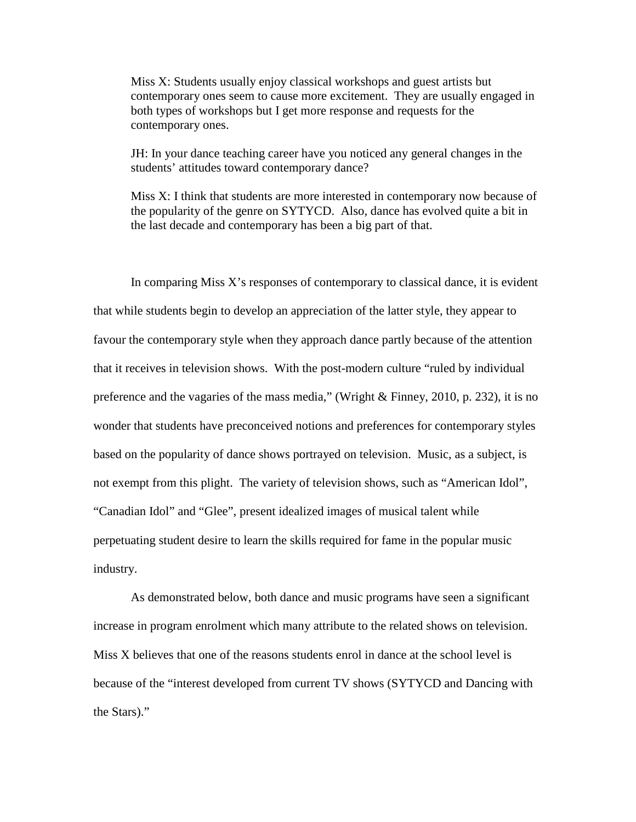Miss X: Students usually enjoy classical workshops and guest artists but contemporary ones seem to cause more excitement. They are usually engaged in both types of workshops but I get more response and requests for the contemporary ones.

JH: In your dance teaching career have you noticed any general changes in the students' attitudes toward contemporary dance?

Miss X: I think that students are more interested in contemporary now because of the popularity of the genre on SYTYCD. Also, dance has evolved quite a bit in the last decade and contemporary has been a big part of that.

In comparing Miss  $X$ 's responses of contemporary to classical dance, it is evident that while students begin to develop an appreciation of the latter style, they appear to favour the contemporary style when they approach dance partly because of the attention that it receives in television shows. With the post-modern culture "ruled by individual preference and the vagaries of the mass media," (Wright & Finney, 2010, p. 232), it is no wonder that students have preconceived notions and preferences for contemporary styles based on the popularity of dance shows portrayed on television. Music, as a subject, is not exempt from this plight. The variety of television shows, such as "American Idol", "Canadian Idol" and "Glee", present idealized images of musical talent while perpetuating student desire to learn the skills required for fame in the popular music industry.

As demonstrated below, both dance and music programs have seen a significant increase in program enrolment which many attribute to the related shows on television. Miss X believes that one of the reasons students enrol in dance at the school level is because of the "interest developed from current TV shows (SYTYCD and Dancing with the Stars)."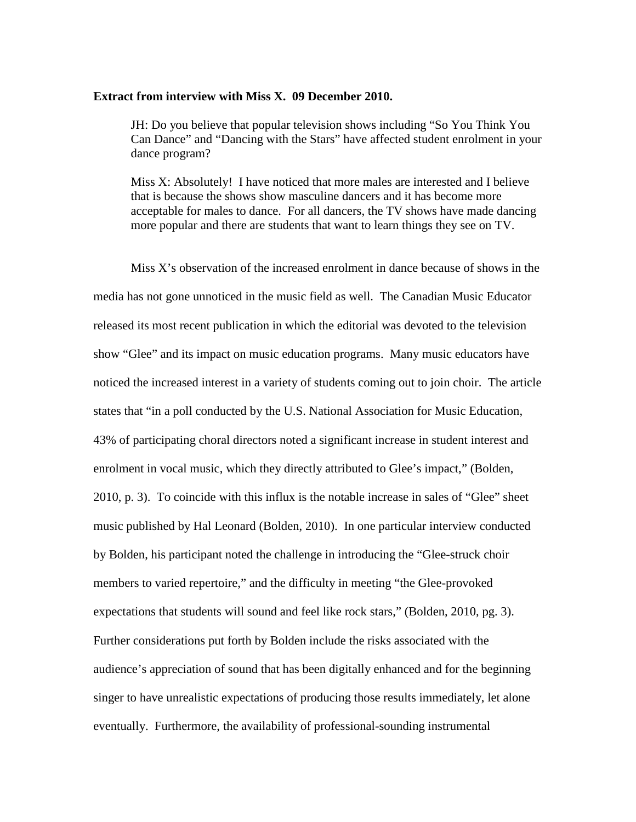#### **Extract from interview with Miss X. 09 December 2010.**

JH: Do you believe that popular television shows including "So You Think You Can Dance" and "Dancing with the Stars" have affected student enrolment in your dance program?

Miss X: Absolutely! I have noticed that more males are interested and I believe that is because the shows show masculine dancers and it has become more acceptable for males to dance. For all dancers, the TV shows have made dancing more popular and there are students that want to learn things they see on TV.

Miss X's observation of the increased enrolment in dance because of shows in the media has not gone unnoticed in the music field as well. The Canadian Music Educator released its most recent publication in which the editorial was devoted to the television show "Glee" and its impact on music education programs. Many music educators have noticed the increased interest in a variety of students coming out to join choir. The article states that "in a poll conducted by the U.S. National Association for Music Education, 43% of participating choral directors noted a significant increase in student interest and enrolment in vocal music, which they directly attributed to Glee's impact," (Bolden, 2010, p. 3). To coincide with this influx is the notable increase in sales of "Glee" sheet music published by Hal Leonard (Bolden, 2010). In one particular interview conducted by Bolden, his participant noted the challenge in introducing the "Glee-struck choir members to varied repertoire," and the difficulty in meeting "the Glee-provoked expectations that students will sound and feel like rock stars," (Bolden, 2010, pg. 3). Further considerations put forth by Bolden include the risks associated with the audience's appreciation of sound that has been digitally enhanced and for the beginning singer to have unrealistic expectations of producing those results immediately, let alone eventually. Furthermore, the availability of professional-sounding instrumental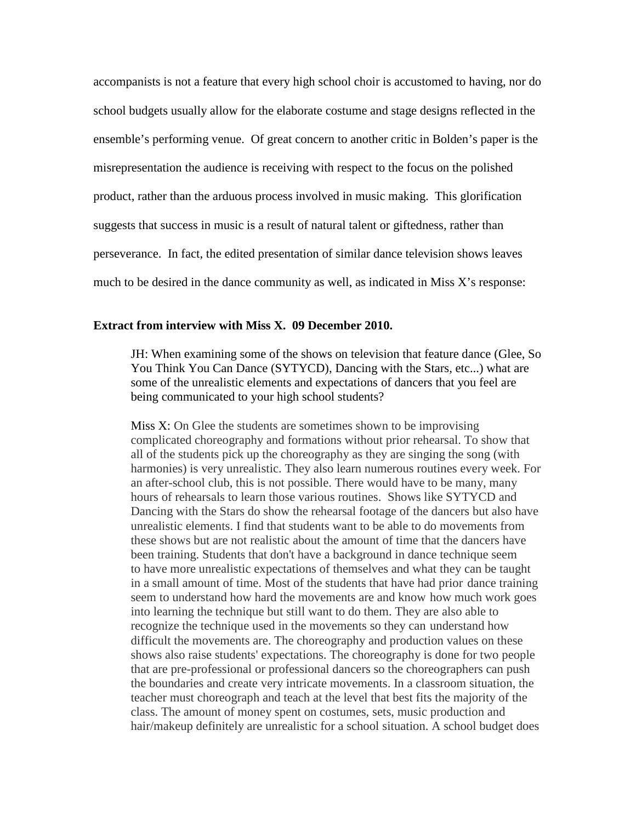accompanists is not a feature that every high school choir is accustomed to having, nor do school budgets usually allow for the elaborate costume and stage designs reflected in the ensemble's performing venue. Of great concern to another critic in Bolden's paper is the misrepresentation the audience is receiving with respect to the focus on the polished product, rather than the arduous process involved in music making. This glorification suggests that success in music is a result of natural talent or giftedness, rather than perseverance. In fact, the edited presentation of similar dance television shows leaves much to be desired in the dance community as well, as indicated in Miss X's response:

### **Extract from interview with Miss X. 09 December 2010.**

JH: When examining some of the shows on television that feature dance (Glee, So You Think You Can Dance (SYTYCD), Dancing with the Stars, etc...) what are some of the unrealistic elements and expectations of dancers that you feel are being communicated to your high school students?

Miss X: On Glee the students are sometimes shown to be improvising complicated choreography and formations without prior rehearsal. To show that all of the students pick up the choreography as they are singing the song (with harmonies) is very unrealistic. They also learn numerous routines every week. For an after-school club, this is not possible. There would have to be many, many hours of rehearsals to learn those various routines. Shows like SYTYCD and Dancing with the Stars do show the rehearsal footage of the dancers but also have unrealistic elements. I find that students want to be able to do movements from these shows but are not realistic about the amount of time that the dancers have been training. Students that don't have a background in dance technique seem to have more unrealistic expectations of themselves and what they can be taught in a small amount of time. Most of the students that have had prior dance training seem to understand how hard the movements are and know how much work goes into learning the technique but still want to do them. They are also able to recognize the technique used in the movements so they can understand how difficult the movements are. The choreography and production values on these shows also raise students' expectations. The choreography is done for two people that are pre-professional or professional dancers so the choreographers can push the boundaries and create very intricate movements. In a classroom situation, the teacher must choreograph and teach at the level that best fits the majority of the class. The amount of money spent on costumes, sets, music production and hair/makeup definitely are unrealistic for a school situation. A school budget does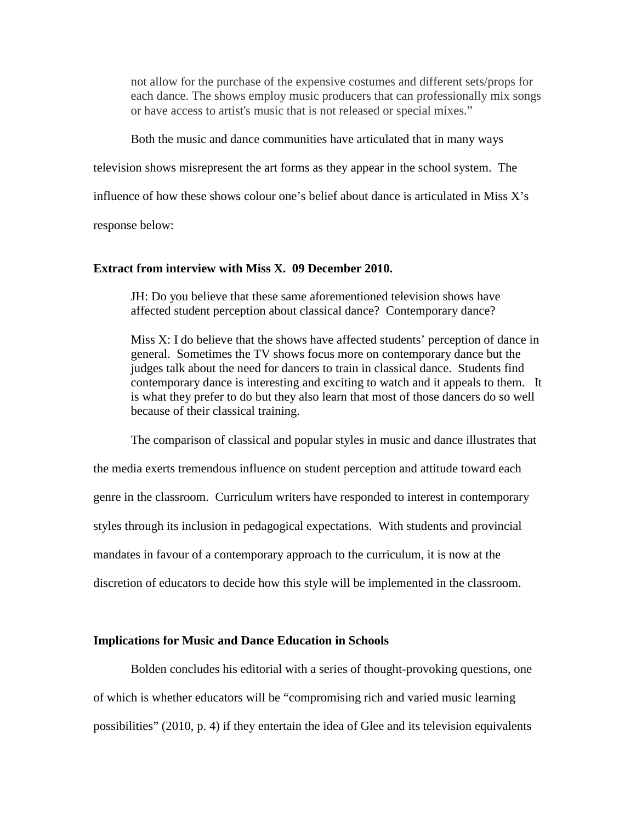not allow for the purchase of the expensive costumes and different sets/props for each dance. The shows employ music producers that can professionally mix songs or have access to artist's music that is not released or special mixes."

Both the music and dance communities have articulated that in many ways

television shows misrepresent the art forms as they appear in the school system. The

influence of how these shows colour one's belief about dance is articulated in Miss X's

response below:

### **Extract from interview with Miss X. 09 December 2010.**

JH: Do you believe that these same aforementioned television shows have affected student perception about classical dance? Contemporary dance?

Miss X: I do believe that the shows have affected students' perception of dance in general. Sometimes the TV shows focus more on contemporary dance but the judges talk about the need for dancers to train in classical dance. Students find contemporary dance is interesting and exciting to watch and it appeals to them. It is what they prefer to do but they also learn that most of those dancers do so well because of their classical training.

The comparison of classical and popular styles in music and dance illustrates that the media exerts tremendous influence on student perception and attitude toward each genre in the classroom. Curriculum writers have responded to interest in contemporary styles through its inclusion in pedagogical expectations. With students and provincial mandates in favour of a contemporary approach to the curriculum, it is now at the discretion of educators to decide how this style will be implemented in the classroom.

### **Implications for Music and Dance Education in Schools**

Bolden concludes his editorial with a series of thought-provoking questions, one of which is whether educators will be "compromising rich and varied music learning possibilities" (2010, p. 4) if they entertain the idea of Glee and its television equivalents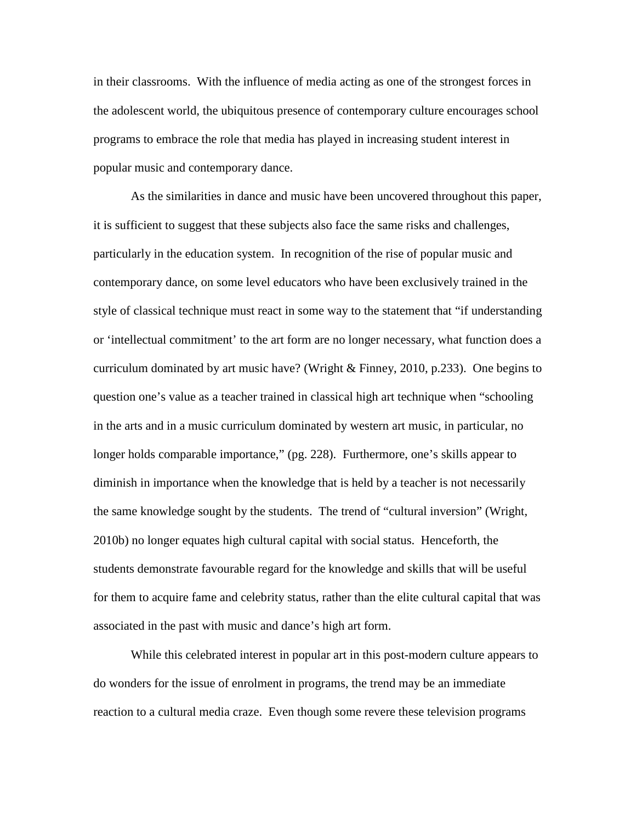in their classrooms. With the influence of media acting as one of the strongest forces in the adolescent world, the ubiquitous presence of contemporary culture encourages school programs to embrace the role that media has played in increasing student interest in popular music and contemporary dance.

As the similarities in dance and music have been uncovered throughout this paper, it is sufficient to suggest that these subjects also face the same risks and challenges, particularly in the education system. In recognition of the rise of popular music and contemporary dance, on some level educators who have been exclusively trained in the style of classical technique must react in some way to the statement that "if understanding or 'intellectual commitment' to the art form are no longer necessary, what function does a curriculum dominated by art music have? (Wright & Finney, 2010, p.233). One begins to question one's value as a teacher trained in classical high art technique when "schooling in the arts and in a music curriculum dominated by western art music, in particular, no longer holds comparable importance," (pg. 228). Furthermore, one's skills appear to diminish in importance when the knowledge that is held by a teacher is not necessarily the same knowledge sought by the students. The trend of "cultural inversion" (Wright, 2010b) no longer equates high cultural capital with social status. Henceforth, the students demonstrate favourable regard for the knowledge and skills that will be useful for them to acquire fame and celebrity status, rather than the elite cultural capital that was associated in the past with music and dance's high art form.

While this celebrated interest in popular art in this post-modern culture appears to do wonders for the issue of enrolment in programs, the trend may be an immediate reaction to a cultural media craze. Even though some revere these television programs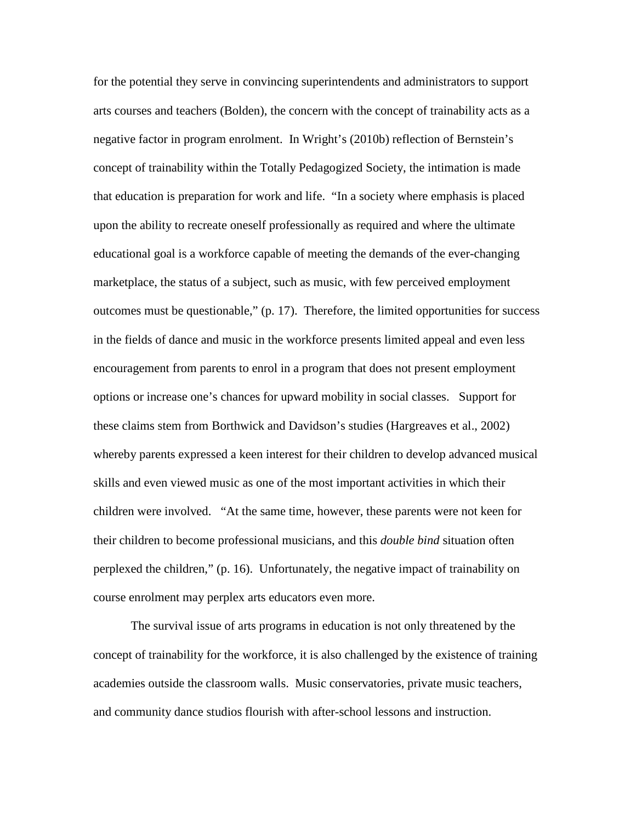for the potential they serve in convincing superintendents and administrators to support arts courses and teachers (Bolden), the concern with the concept of trainability acts as a negative factor in program enrolment. In Wright's (2010b) reflection of Bernstein's concept of trainability within the Totally Pedagogized Society, the intimation is made that education is preparation for work and life. "In a society where emphasis is placed upon the ability to recreate oneself professionally as required and where the ultimate educational goal is a workforce capable of meeting the demands of the ever-changing marketplace, the status of a subject, such as music, with few perceived employment outcomes must be questionable," (p. 17). Therefore, the limited opportunities for success in the fields of dance and music in the workforce presents limited appeal and even less encouragement from parents to enrol in a program that does not present employment options or increase one's chances for upward mobility in social classes. Support for these claims stem from Borthwick and Davidson's studies (Hargreaves et al., 2002) whereby parents expressed a keen interest for their children to develop advanced musical skills and even viewed music as one of the most important activities in which their children were involved. "At the same time, however, these parents were not keen for their children to become professional musicians, and this *double bind* situation often perplexed the children," (p. 16). Unfortunately, the negative impact of trainability on course enrolment may perplex arts educators even more.

The survival issue of arts programs in education is not only threatened by the concept of trainability for the workforce, it is also challenged by the existence of training academies outside the classroom walls. Music conservatories, private music teachers, and community dance studios flourish with after-school lessons and instruction.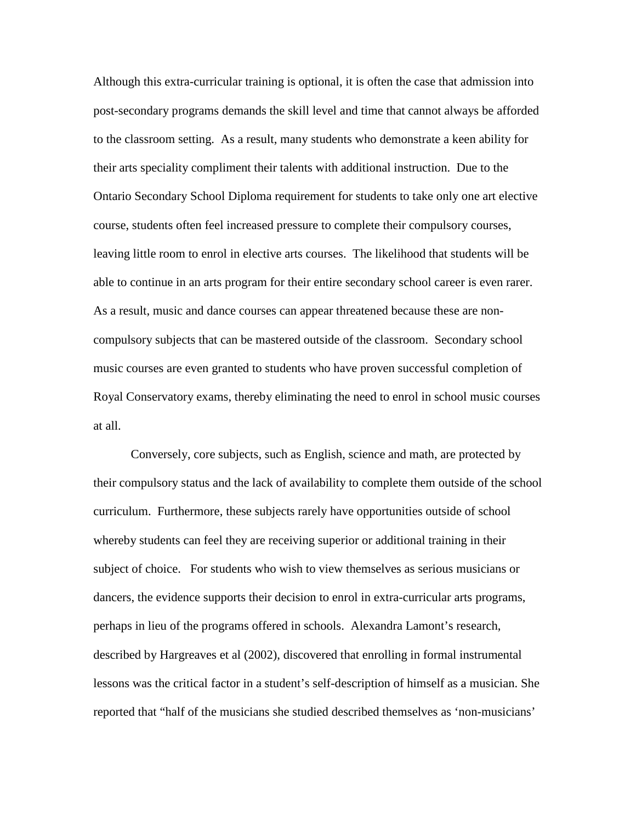Although this extra-curricular training is optional, it is often the case that admission into post-secondary programs demands the skill level and time that cannot always be afforded to the classroom setting. As a result, many students who demonstrate a keen ability for their arts speciality compliment their talents with additional instruction. Due to the Ontario Secondary School Diploma requirement for students to take only one art elective course, students often feel increased pressure to complete their compulsory courses, leaving little room to enrol in elective arts courses. The likelihood that students will be able to continue in an arts program for their entire secondary school career is even rarer. As a result, music and dance courses can appear threatened because these are noncompulsory subjects that can be mastered outside of the classroom. Secondary school music courses are even granted to students who have proven successful completion of Royal Conservatory exams, thereby eliminating the need to enrol in school music courses at all.

Conversely, core subjects, such as English, science and math, are protected by their compulsory status and the lack of availability to complete them outside of the school curriculum. Furthermore, these subjects rarely have opportunities outside of school whereby students can feel they are receiving superior or additional training in their subject of choice. For students who wish to view themselves as serious musicians or dancers, the evidence supports their decision to enrol in extra-curricular arts programs, perhaps in lieu of the programs offered in schools. Alexandra Lamont's research, described by Hargreaves et al (2002), discovered that enrolling in formal instrumental lessons was the critical factor in a student's self-description of himself as a musician. She reported that "half of the musicians she studied described themselves as 'non-musicians'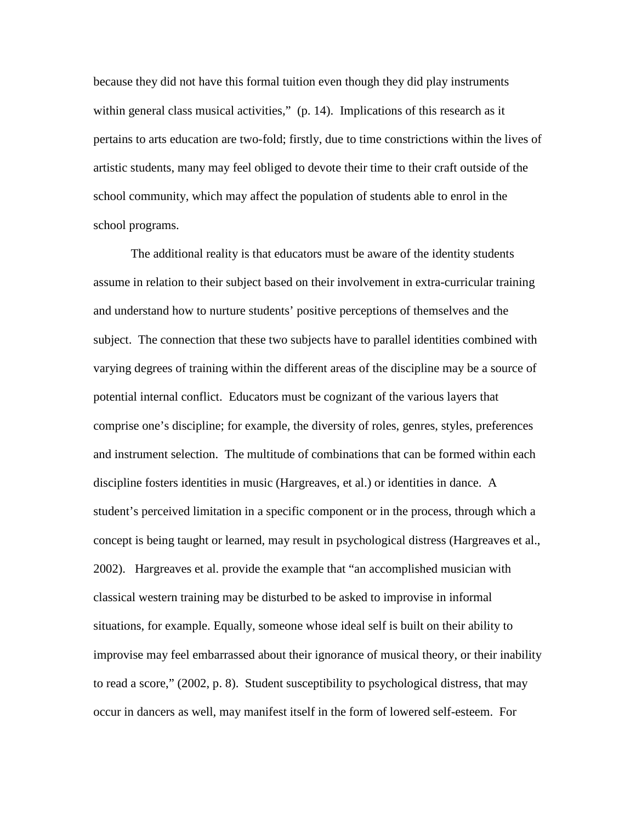because they did not have this formal tuition even though they did play instruments within general class musical activities," (p. 14). Implications of this research as it pertains to arts education are two-fold; firstly, due to time constrictions within the lives of artistic students, many may feel obliged to devote their time to their craft outside of the school community, which may affect the population of students able to enrol in the school programs.

The additional reality is that educators must be aware of the identity students assume in relation to their subject based on their involvement in extra-curricular training and understand how to nurture students' positive perceptions of themselves and the subject. The connection that these two subjects have to parallel identities combined with varying degrees of training within the different areas of the discipline may be a source of potential internal conflict. Educators must be cognizant of the various layers that comprise one's discipline; for example, the diversity of roles, genres, styles, preferences and instrument selection. The multitude of combinations that can be formed within each discipline fosters identities in music (Hargreaves, et al.) or identities in dance. A student's perceived limitation in a specific component or in the process, through which a concept is being taught or learned, may result in psychological distress (Hargreaves et al., 2002). Hargreaves et al. provide the example that "an accomplished musician with classical western training may be disturbed to be asked to improvise in informal situations, for example. Equally, someone whose ideal self is built on their ability to improvise may feel embarrassed about their ignorance of musical theory, or their inability to read a score," (2002, p. 8). Student susceptibility to psychological distress, that may occur in dancers as well, may manifest itself in the form of lowered self-esteem. For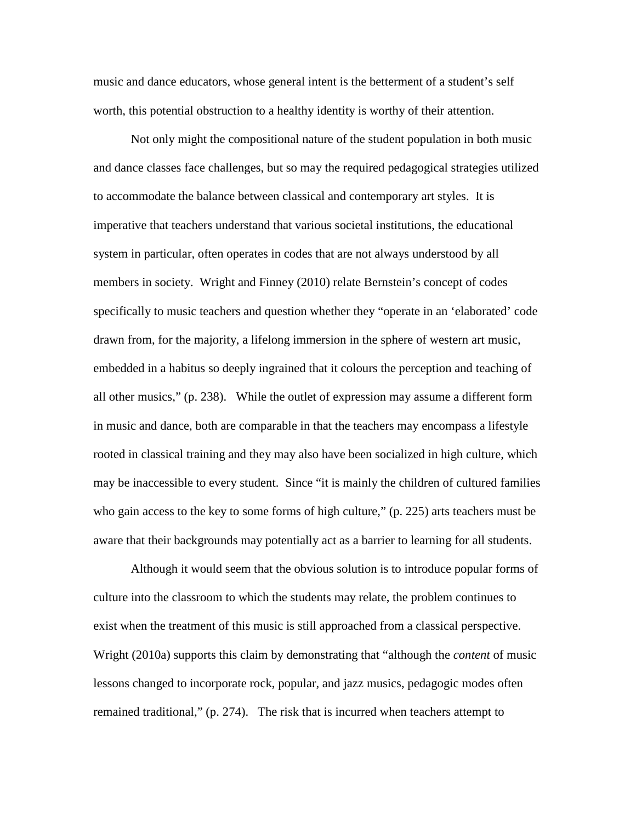music and dance educators, whose general intent is the betterment of a student's self worth, this potential obstruction to a healthy identity is worthy of their attention.

Not only might the compositional nature of the student population in both music and dance classes face challenges, but so may the required pedagogical strategies utilized to accommodate the balance between classical and contemporary art styles. It is imperative that teachers understand that various societal institutions, the educational system in particular, often operates in codes that are not always understood by all members in society. Wright and Finney (2010) relate Bernstein's concept of codes specifically to music teachers and question whether they "operate in an 'elaborated' code drawn from, for the majority, a lifelong immersion in the sphere of western art music, embedded in a habitus so deeply ingrained that it colours the perception and teaching of all other musics," (p. 238). While the outlet of expression may assume a different form in music and dance, both are comparable in that the teachers may encompass a lifestyle rooted in classical training and they may also have been socialized in high culture, which may be inaccessible to every student. Since "it is mainly the children of cultured families who gain access to the key to some forms of high culture," (p. 225) arts teachers must be aware that their backgrounds may potentially act as a barrier to learning for all students.

Although it would seem that the obvious solution is to introduce popular forms of culture into the classroom to which the students may relate, the problem continues to exist when the treatment of this music is still approached from a classical perspective. Wright (2010a) supports this claim by demonstrating that "although the *content* of music lessons changed to incorporate rock, popular, and jazz musics, pedagogic modes often remained traditional," (p. 274). The risk that is incurred when teachers attempt to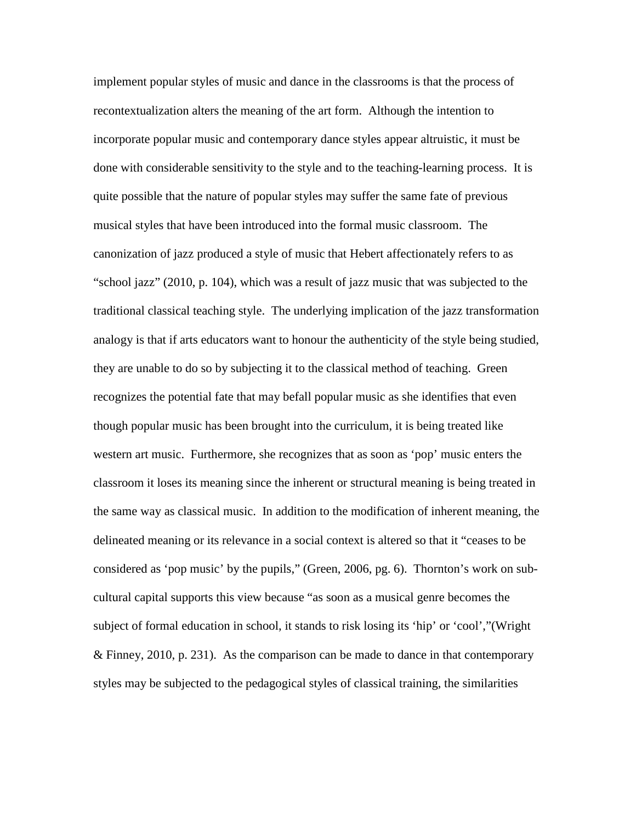implement popular styles of music and dance in the classrooms is that the process of recontextualization alters the meaning of the art form. Although the intention to incorporate popular music and contemporary dance styles appear altruistic, it must be done with considerable sensitivity to the style and to the teaching-learning process. It is quite possible that the nature of popular styles may suffer the same fate of previous musical styles that have been introduced into the formal music classroom. The canonization of jazz produced a style of music that Hebert affectionately refers to as "school jazz" (2010, p. 104), which was a result of jazz music that was subjected to the traditional classical teaching style. The underlying implication of the jazz transformation analogy is that if arts educators want to honour the authenticity of the style being studied, they are unable to do so by subjecting it to the classical method of teaching. Green recognizes the potential fate that may befall popular music as she identifies that even though popular music has been brought into the curriculum, it is being treated like western art music. Furthermore, she recognizes that as soon as 'pop' music enters the classroom it loses its meaning since the inherent or structural meaning is being treated in the same way as classical music. In addition to the modification of inherent meaning, the delineated meaning or its relevance in a social context is altered so that it "ceases to be considered as 'pop music' by the pupils," (Green, 2006, pg. 6). Thornton's work on subcultural capital supports this view because "as soon as a musical genre becomes the subject of formal education in school, it stands to risk losing its 'hip' or 'cool',"(Wright & Finney, 2010, p. 231). As the comparison can be made to dance in that contemporary styles may be subjected to the pedagogical styles of classical training, the similarities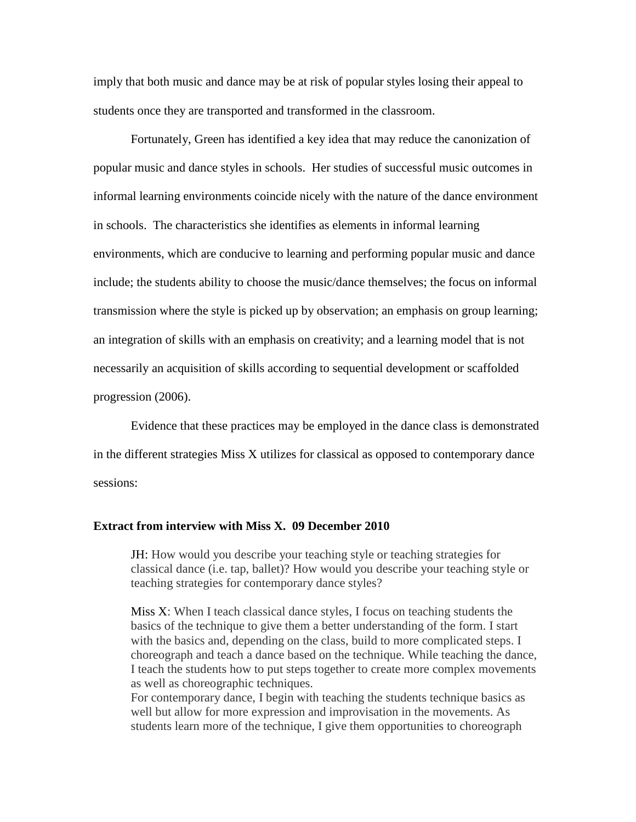imply that both music and dance may be at risk of popular styles losing their appeal to students once they are transported and transformed in the classroom.

Fortunately, Green has identified a key idea that may reduce the canonization of popular music and dance styles in schools. Her studies of successful music outcomes in informal learning environments coincide nicely with the nature of the dance environment in schools. The characteristics she identifies as elements in informal learning environments, which are conducive to learning and performing popular music and dance include; the students ability to choose the music/dance themselves; the focus on informal transmission where the style is picked up by observation; an emphasis on group learning; an integration of skills with an emphasis on creativity; and a learning model that is not necessarily an acquisition of skills according to sequential development or scaffolded progression (2006).

Evidence that these practices may be employed in the dance class is demonstrated in the different strategies Miss X utilizes for classical as opposed to contemporary dance sessions:

# **Extract from interview with Miss X. 09 December 2010**

JH: How would you describe your teaching style or teaching strategies for classical dance (i.e. tap, ballet)? How would you describe your teaching style or teaching strategies for contemporary dance styles?

Miss X: When I teach classical dance styles, I focus on teaching students the basics of the technique to give them a better understanding of the form. I start with the basics and, depending on the class, build to more complicated steps. I choreograph and teach a dance based on the technique. While teaching the dance, I teach the students how to put steps together to create more complex movements as well as choreographic techniques.

For contemporary dance, I begin with teaching the students technique basics as well but allow for more expression and improvisation in the movements. As students learn more of the technique, I give them opportunities to choreograph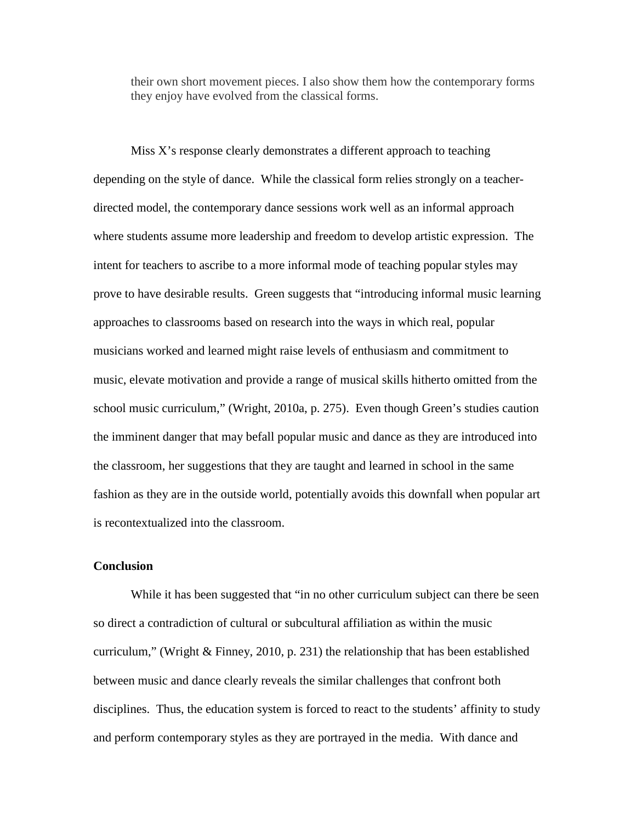their own short movement pieces. I also show them how the contemporary forms they enjoy have evolved from the classical forms.

Miss X's response clearly demonstrates a different approach to teaching depending on the style of dance. While the classical form relies strongly on a teacherdirected model, the contemporary dance sessions work well as an informal approach where students assume more leadership and freedom to develop artistic expression. The intent for teachers to ascribe to a more informal mode of teaching popular styles may prove to have desirable results. Green suggests that "introducing informal music learning approaches to classrooms based on research into the ways in which real, popular musicians worked and learned might raise levels of enthusiasm and commitment to music, elevate motivation and provide a range of musical skills hitherto omitted from the school music curriculum," (Wright, 2010a, p. 275). Even though Green's studies caution the imminent danger that may befall popular music and dance as they are introduced into the classroom, her suggestions that they are taught and learned in school in the same fashion as they are in the outside world, potentially avoids this downfall when popular art is recontextualized into the classroom.

# **Conclusion**

While it has been suggested that "in no other curriculum subject can there be seen so direct a contradiction of cultural or subcultural affiliation as within the music curriculum," (Wright  $\&$  Finney, 2010, p. 231) the relationship that has been established between music and dance clearly reveals the similar challenges that confront both disciplines. Thus, the education system is forced to react to the students' affinity to study and perform contemporary styles as they are portrayed in the media. With dance and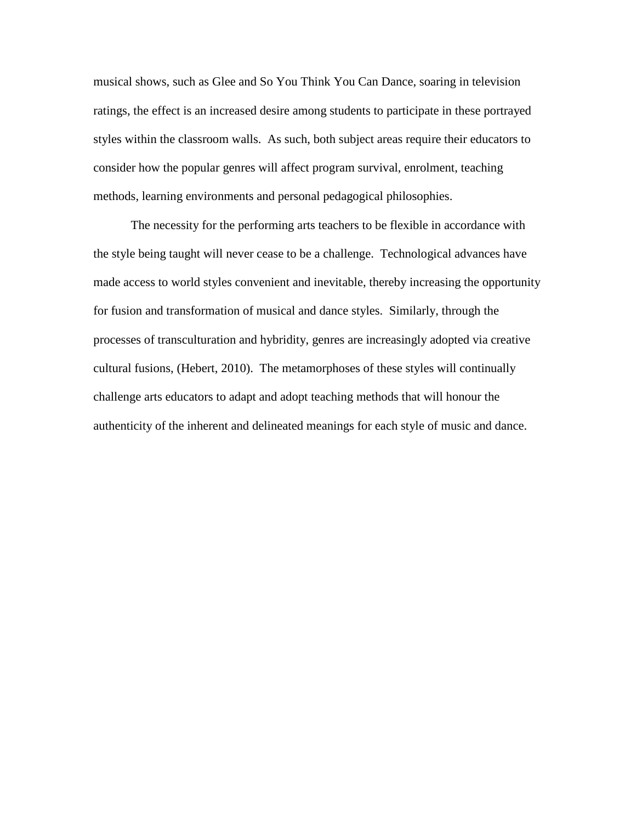musical shows, such as Glee and So You Think You Can Dance, soaring in television ratings, the effect is an increased desire among students to participate in these portrayed styles within the classroom walls. As such, both subject areas require their educators to consider how the popular genres will affect program survival, enrolment, teaching methods, learning environments and personal pedagogical philosophies.

The necessity for the performing arts teachers to be flexible in accordance with the style being taught will never cease to be a challenge. Technological advances have made access to world styles convenient and inevitable, thereby increasing the opportunity for fusion and transformation of musical and dance styles. Similarly, through the processes of transculturation and hybridity, genres are increasingly adopted via creative cultural fusions, (Hebert, 2010). The metamorphoses of these styles will continually challenge arts educators to adapt and adopt teaching methods that will honour the authenticity of the inherent and delineated meanings for each style of music and dance.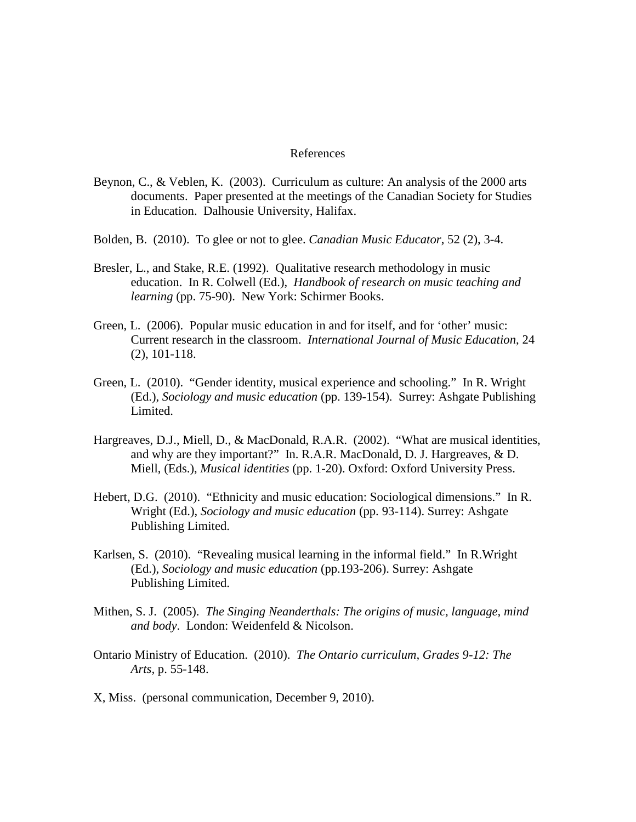### References

- Beynon, C., & Veblen, K. (2003). Curriculum as culture: An analysis of the 2000 arts documents. Paper presented at the meetings of the Canadian Society for Studies in Education. Dalhousie University, Halifax.
- Bolden, B. (2010). To glee or not to glee. *Canadian Music Educator*, 52 (2), 3-4.
- Bresler, L., and Stake, R.E. (1992). Qualitative research methodology in music education. In R. Colwell (Ed.), *Handbook of research on music teaching and learning* (pp. 75-90). New York: Schirmer Books.
- Green, L. (2006). Popular music education in and for itself, and for 'other' music: Current research in the classroom. *International Journal of Music Education*, 24 (2), 101-118.
- Green, L. (2010). "Gender identity, musical experience and schooling." In R. Wright (Ed.), *Sociology and music education* (pp. 139-154). Surrey: Ashgate Publishing Limited.
- Hargreaves, D.J., Miell, D., & MacDonald, R.A.R. (2002). "What are musical identities, and why are they important?" In. R.A.R. MacDonald, D. J. Hargreaves, & D. Miell, (Eds.), *Musical identities* (pp. 1-20). Oxford: Oxford University Press.
- Hebert, D.G. (2010). "Ethnicity and music education: Sociological dimensions." In R. Wright (Ed.), *Sociology and music education* (pp. 93-114). Surrey: Ashgate Publishing Limited.
- Karlsen, S. (2010). "Revealing musical learning in the informal field." In R.Wright (Ed.), *Sociology and music education* (pp.193-206). Surrey: Ashgate Publishing Limited.
- Mithen, S. J. (2005). *The Singing Neanderthals: The origins of music, language, mind and body*. London: Weidenfeld & Nicolson.
- Ontario Ministry of Education. (2010). *The Ontario curriculum, Grades 9-12: The Arts,* p. 55-148.
- X, Miss. (personal communication, December 9, 2010).